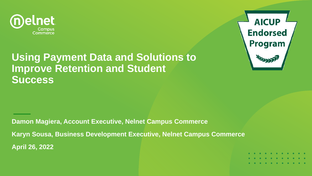



#### **Using Payment Data and Solutions to Improve Retention and Student Success**

**Damon Magiera, Account Executive, Nelnet Campus Commerce Karyn Sousa, Business Development Executive, Nelnet Campus Commerce April 26, 2022**

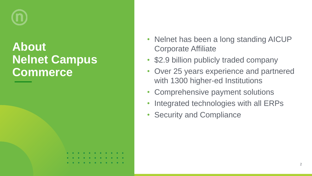# **About Nelnet Campus Commerce**

- Nelnet has been a long standing AICUP Corporate Affiliate
- \$2.9 billion publicly traded company
- Over 25 years experience and partnered with 1300 higher-ed Institutions
- Comprehensive payment solutions
- Integrated technologies with all ERPs
- Security and Compliance

| . |  |  |  |  |  |
|---|--|--|--|--|--|
| . |  |  |  |  |  |
| . |  |  |  |  |  |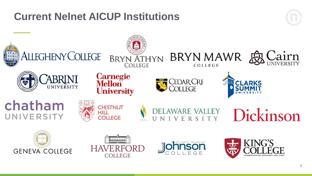### **Current Nelnet AICUP Institutions**

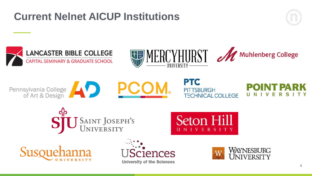## **Current Nelnet AICUP Institutions**







Pennsylvania College



**PTC PITTSBURGH TECHNICAL COLLEGE** 

F

S J SAINT JOSEPH'S<br>UNIVERSITY





ences **University of the Sciences** 

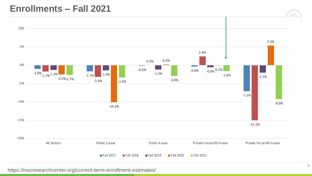#### **Enrollments – Fall 2021**



https://nscresearchcenter.org/current-term-enrollment-estimates/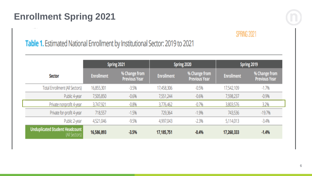#### **Enrollment Spring 2021**



#### **SPRING 2021**

#### Table 1. Estimated National Enrollment by Institutional Sector: 2019 to 2021

|                                                        |                   | Spring 2021                           |                   | Spring 2020                           | Spring 2019       |                                       |
|--------------------------------------------------------|-------------------|---------------------------------------|-------------------|---------------------------------------|-------------------|---------------------------------------|
| <b>Sector</b>                                          | <b>Enrollment</b> | % Change from<br><b>Previous Year</b> | <b>Enrollment</b> | % Change from<br><b>Previous Year</b> | <b>Enrollment</b> | % Change from<br><b>Previous Year</b> |
| <b>Total Enrollment (All Sectors)</b>                  | 16,855,301        | $-3.5%$                               | 17,458,306        | $-0.5%$                               | 17,542,109        | $-1.7%$                               |
| Public 4-year                                          | 7,505,850         | $-0.6%$                               | 7,551,244         | $-0.6%$                               | 7,598,237         | $-0.9%$                               |
| Private nonprofit 4-year                               | 3,747,921         | $-0.8%$                               | 3,776,462         | $-0.7%$                               | 3,803,576         | 3.2%                                  |
| Private for-profit 4-year                              | 718,557           | $-1.5%$                               | 729,364           | $-1.9%$                               | 743,536           | $-19.7%$                              |
| Public 2-year                                          | 4,521,046         | $-9.5%$                               | 4,997,043         | $-2.3%$                               | 5,114,013         | $-3.4%$                               |
| <b>Unduplicated Student Headcount</b><br>(All Sectors) | 16,586,893        | $-3.5%$                               | 17,185,751        | $-0.4%$                               | 17,260,333        | $-1.4%$                               |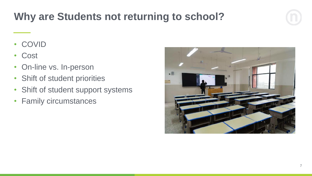# **Why are Students not returning to school?**

- COVID
- Cost
- On-line vs. In-person
- Shift of student priorities
- Shift of student support systems
- Family circumstances

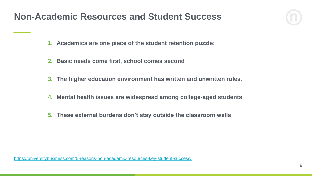#### **Non-Academic Resources and Student Success**



- **2. Basic needs come first, school comes second**
- **3. The higher education environment has written and unwritten rules**:
- **4. Mental health issues are widespread among college-aged students**
- **5. These external burdens don't stay outside the classroom walls**

<https://universitybusiness.com/5-reasons-non-academic-resources-key-student-success/>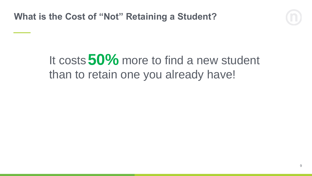

# It costs 50% more to find a new student than to retain one you already have!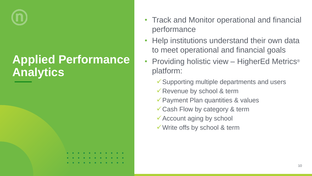# **Applied Performance Analytics**

- Track and Monitor operational and financial performance
- Help institutions understand their own data to meet operational and financial goals
- Providing holistic view HigherEd Metrics<sup>®</sup> platform:
	- ✓Supporting multiple departments and users
	- ✓Revenue by school & term
	- ✓Payment Plan quantities & values
	- ✓Cash Flow by category & term
	- $\checkmark$  Account aging by school
	- ✓Write offs by school & term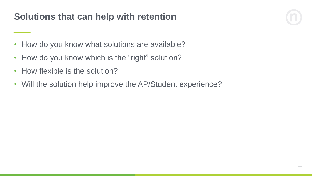#### **Solutions that can help with retention**



- How do you know what solutions are available?
- How do you know which is the "right" solution?
- How flexible is the solution?
- Will the solution help improve the AP/Student experience?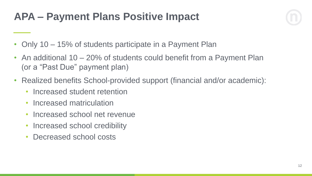## **APA – Payment Plans Positive Impact**

- Only 10 15% of students participate in a Payment Plan
- An additional 10 20% of students could benefit from a Payment Plan (or a "Past Due" payment plan)
- Realized benefits School-provided support (financial and/or academic):
	- Increased student retention
	- Increased matriculation
	- Increased school net revenue
	- Increased school credibility
	- Decreased school costs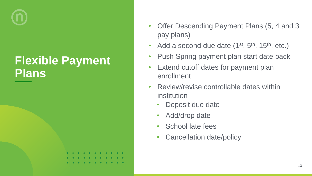# **Flexible Payment Plans**

- Offer Descending Payment Plans (5, 4 and 3 pay plans)
- Add a second due date  $(1^{st}, 5^{th}, 15^{th}, etc.)$
- Push Spring payment plan start date back
- Extend cutoff dates for payment plan enrollment
- Review/revise controllable dates within institution
	- Deposit due date
	- Add/drop date
	- School late fees
	- Cancellation date/policy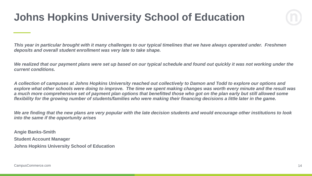## **Johns Hopkins University School of Education**

*This year in particular brought with it many challenges to our typical timelines that we have always operated under. Freshmen deposits and overall student enrollment was very late to take shape.*

*We realized that our payment plans were set up based on our typical schedule and found out quickly it was not working under the current conditions.*

*A collection of campuses at Johns Hopkins University reached out collectively to Damon and Todd to explore our options and explore what other schools were doing to improve. The time we spent making changes was worth every minute and the result was a much more comprehensive set of payment plan options that benefitted those who got on the plan early but still allowed some flexibility for the growing number of students/families who were making their financing decisions a little later in the game.*

*We are finding that the new plans are very popular with the late decision students and would encourage other institutions to look into the same if the opportunity arises*

**Angie Banks-Smith Student Account Manager Johns Hopkins University School of Education**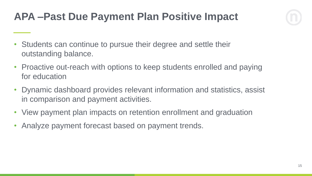# **APA –Past Due Payment Plan Positive Impact**



- Students can continue to pursue their degree and settle their outstanding balance.
- Proactive out-reach with options to keep students enrolled and paying for education
- Dynamic dashboard provides relevant information and statistics, assist in comparison and payment activities.
- View payment plan impacts on retention enrollment and graduation
- Analyze payment forecast based on payment trends.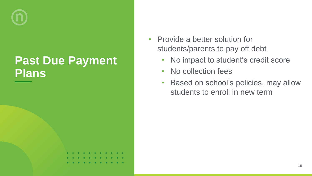# **Past Due Payment Plans**

- Provide a better solution for students/parents to pay off debt
	- No impact to student's credit score
	- No collection fees
	- Based on school's policies, may allow students to enroll in new term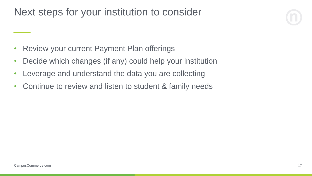### Next steps for your institution to consider

- Review your current Payment Plan offerings
- Decide which changes (if any) could help your institution
- Leverage and understand the data you are collecting
- Continue to review and listen to student & family needs